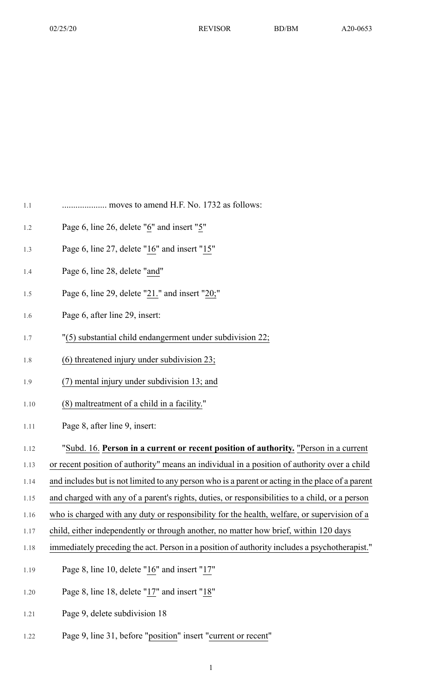| 1.1 |  |  |  |
|-----|--|--|--|
|     |  |  |  |

- 1.2 Page 6, line 26, delete " $6$ " and insert " $5$ "
- 1.3 Page 6, line 27, delete " $16$ " and insert " $15$ "
- 1.4 Page 6, line 28, delete "and"
- 1.5 Page 6, line 29, delete "21." and insert "20;"
- 1.6 Page 6, after line 29, insert:
- 1.7 "(5) substantial child endangerment under subdivision 22;
- 1.8 (6) threatened injury under subdivision 23;
- 1.9 (7) mental injury under subdivision 13; and
- 1.10 (8) maltreatment of a child in a facility."
- 1.11 Page 8, after line 9, insert:
- 1.12 "Subd. 16. **Person in a current or recent position of authority.** "Person in a current
- 1.13 or recent position of authority" means an individual in a position of authority over a child
- 1.14 and includes but is not limited to any person who is a parent or acting in the place of a parent
- 1.15 and charged with any of a parent's rights, duties, or responsibilities to a child, or a person
- 1.16 who is charged with any duty or responsibility for the health, welfare, or supervision of a
- 1.17 child, either independently or through another, no matter how brief, within 120 days
- 1.18 immediately preceding the act. Person in a position of authority includes a psychotherapist."
- 1.19 Page 8, line 10, delete " $16$ " and insert " $17$ "
- 1.20 Page 8, line 18, delete "17" and insert "18"
- 1.21 Page 9, delete subdivision 18
- 1.22 Page 9, line 31, before "position" insert "current or recent"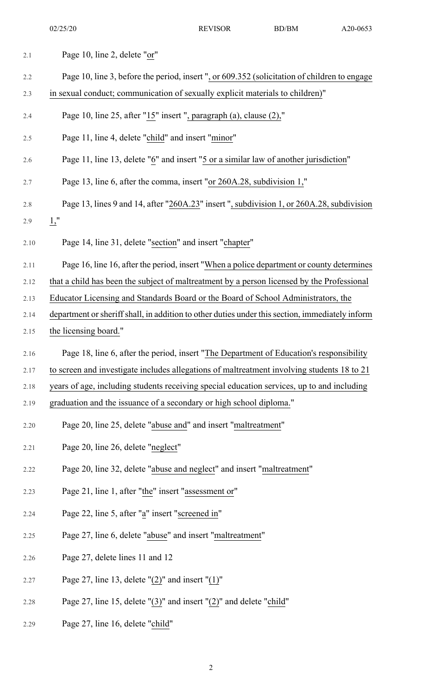| 2.1  | Page 10, line 2, delete "or"                                                                    |
|------|-------------------------------------------------------------------------------------------------|
| 2.2  | Page 10, line 3, before the period, insert ", or 609.352 (solicitation of children to engage    |
| 2.3  | in sexual conduct; communication of sexually explicit materials to children)"                   |
| 2.4  | Page 10, line 25, after " $15$ " insert ", paragraph (a), clause (2),"                          |
| 2.5  | Page 11, line 4, delete "child" and insert "minor"                                              |
| 2.6  | Page 11, line 13, delete "6" and insert "5 or a similar law of another jurisdiction"            |
| 2.7  | Page 13, line 6, after the comma, insert "or 260A.28, subdivision 1,"                           |
| 2.8  | Page 13, lines 9 and 14, after "260A.23" insert ", subdivision 1, or 260A.28, subdivision       |
| 2.9  | $1,$ "                                                                                          |
| 2.10 | Page 14, line 31, delete "section" and insert "chapter"                                         |
| 2.11 | Page 16, line 16, after the period, insert "When a police department or county determines       |
| 2.12 | that a child has been the subject of maltreatment by a person licensed by the Professional      |
| 2.13 | Educator Licensing and Standards Board or the Board of School Administrators, the               |
| 2.14 | department or sheriff shall, in addition to other duties under this section, immediately inform |
| 2.15 | the licensing board."                                                                           |
| 2.16 | Page 18, line 6, after the period, insert "The Department of Education's responsibility         |
| 2.17 | to screen and investigate includes allegations of maltreatment involving students 18 to 21      |
| 2.18 | years of age, including students receiving special education services, up to and including      |
| 2.19 | graduation and the issuance of a secondary or high school diploma."                             |
| 2.20 | Page 20, line 25, delete "abuse and" and insert "maltreatment"                                  |
| 2.21 | Page 20, line 26, delete "neglect"                                                              |
| 2.22 | Page 20, line 32, delete "abuse and neglect" and insert "maltreatment"                          |
| 2.23 | Page 21, line 1, after "the" insert "assessment or"                                             |
| 2.24 | Page 22, line 5, after "a" insert "screened in"                                                 |
| 2.25 | Page 27, line 6, delete "abuse" and insert "maltreatment"                                       |
| 2.26 | Page 27, delete lines 11 and 12                                                                 |
| 2.27 | Page 27, line 13, delete " $(2)$ " and insert " $(1)$ "                                         |
| 2.28 | Page 27, line 15, delete " $(3)$ " and insert " $(2)$ " and delete "child"                      |
| 2.29 | Page 27, line 16, delete "child"                                                                |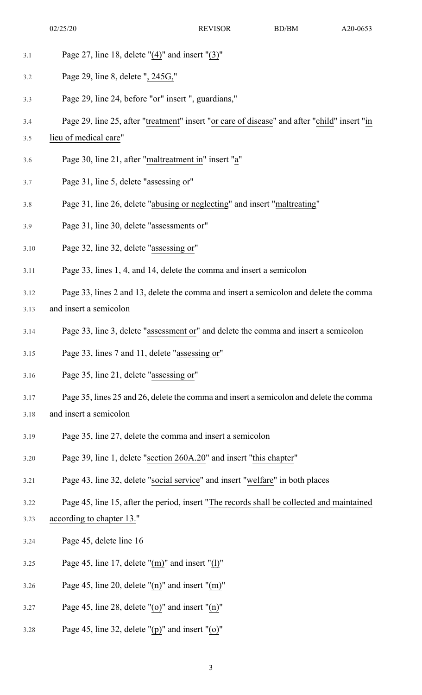- 3.1 Page 27, line 18, delete "(4)" and insert "(3)"
- 3.2 Page 29, line 8, delete ", 245G,"
- 3.3 Page 29, line 24, before "or" insert ", guardians,"
- 3.4 Page 29, line 25, after "treatment" insert "or care of disease" and after "child" insert "in
- 3.5 lieu of medical care"
- 3.6 Page 30, line 21, after "maltreatment in" insert "a"
- 3.7 Page 31, line 5, delete "assessing or"
- 3.8 Page 31, line 26, delete "abusing or neglecting" and insert "maltreating"
- 3.9 Page 31, line 30, delete "assessments or"
- 3.10 Page 32, line 32, delete "assessing or"
- 3.11 Page 33, lines 1, 4, and 14, delete the comma and insert a semicolon
- 3.12 Page 33, lines 2 and 13, delete the comma and insert a semicolon and delete the comma
- 3.13 and insert a semicolon
- 3.14 Page 33, line 3, delete "assessment or" and delete the comma and insert a semicolon
- 3.15 Page 33, lines 7 and 11, delete "assessing or"
- 3.16 Page 35, line 21, delete "assessing or"
- 3.17 Page 35, lines 25 and 26, delete the comma and insert a semicolon and delete the comma
- 3.18 and insert a semicolon
- 3.19 Page 35, line 27, delete the comma and insert a semicolon
- 3.20 Page 39, line 1, delete "section 260A.20" and insert "this chapter"
- 3.21 Page 43, line 32, delete "social service" and insert "welfare" in both places
- 3.22 Page 45, line 15, after the period, insert "The records shall be collected and maintained

## 3.23 according to chapter 13."

- 3.24 Page 45, delete line 16
- 3.25 Page 45, line 17, delete "(m)" and insert "(l)"
- 3.26 Page 45, line 20, delete "(n)" and insert "(m)"
- 3.27 Page 45, line 28, delete "(o)" and insert "(n)"
- 3.28 Page 45, line 32, delete "(p)" and insert "(o)"